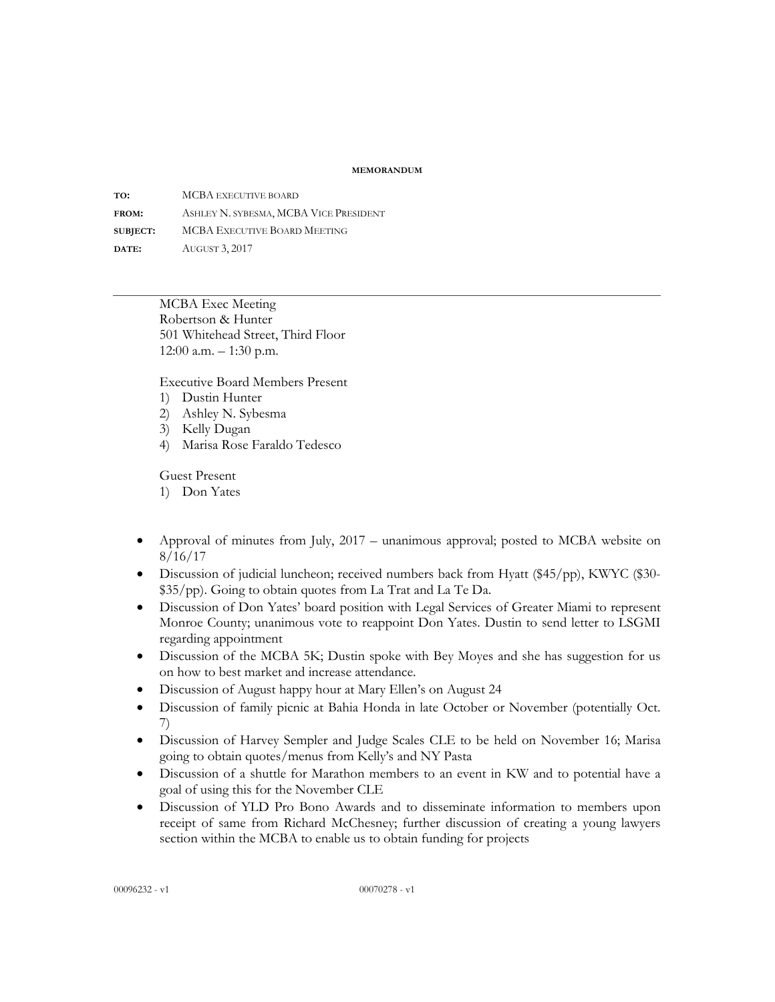## **MEMORANDUM**

**TO:** MCBA EXECUTIVE BOARD **FROM:** ASHLEY N. SYBESMA, MCBA VICE PRESIDENT **SUBJECT:** MCBA EXECUTIVE BOARD MEETING **DATE:** AUGUST 3, 2017

> MCBA Exec Meeting Robertson & Hunter 501 Whitehead Street, Third Floor 12:00 a.m. – 1:30 p.m.

Executive Board Members Present

- 1) Dustin Hunter
- 2) Ashley N. Sybesma
- 3) Kelly Dugan
- 4) Marisa Rose Faraldo Tedesco

Guest Present

- 1) Don Yates
- Approval of minutes from July, 2017 unanimous approval; posted to MCBA website on 8/16/17
- Discussion of judicial luncheon; received numbers back from Hyatt (\$45/pp), KWYC (\$30-\$35/pp). Going to obtain quotes from La Trat and La Te Da.
- Discussion of Don Yates' board position with Legal Services of Greater Miami to represent Monroe County; unanimous vote to reappoint Don Yates. Dustin to send letter to LSGMI regarding appointment
- Discussion of the MCBA 5K; Dustin spoke with Bey Moyes and she has suggestion for us on how to best market and increase attendance.
- Discussion of August happy hour at Mary Ellen's on August 24
- Discussion of family picnic at Bahia Honda in late October or November (potentially Oct. 7)
- Discussion of Harvey Sempler and Judge Scales CLE to be held on November 16; Marisa going to obtain quotes/menus from Kelly's and NY Pasta
- Discussion of a shuttle for Marathon members to an event in KW and to potential have a goal of using this for the November CLE
- Discussion of YLD Pro Bono Awards and to disseminate information to members upon receipt of same from Richard McChesney; further discussion of creating a young lawyers section within the MCBA to enable us to obtain funding for projects